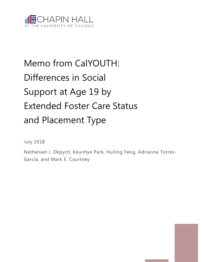

# Memo from CalYOUTH: Differences in Social Support at Age 19 by Extended Foster Care Status and Placement Type

July 2018

Nathanael J. Okpych, Keunhye Park, Huiling Feng, Adrianna Torres-García, and Mark E. Courtney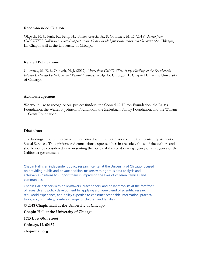#### **Recommended Citation**

Okpych, N. J., Park, K., Feng, H., Torres-García, A., & Courtney, M. E. (2018). *Memo from CalYOUTH: Differences in social support at age 19 by extended foster care status and placement type*. Chicago, IL: Chapin Hall at the University of Chicago.

#### **Related Publications**

Courtney, M. E. & Okpych, N. J. (2017). *Memo from CalYOUTH: Early Findings on the Relationship between Extended Foster Care and Youths' Outcomes at Age 19*. Chicago, IL: Chapin Hall at the University of Chicago.

## **Acknowledgement**

We would like to recognize our project funders: the Conrad N. Hilton Foundation, the Reissa Foundation, the Walter S. Johnson Foundation, the Zellerbach Family Foundation, and the William T. Grant Foundation.

#### **Disclaimer**

The findings reported herein were performed with the permission of the California Department of Social Services. The opinions and conclusions expressed herein are solely those of the authors and should not be considered as representing the policy of the collaborating agency or any agency of the California government.

Chapin Hall is an independent policy research center at the University of Chicago focused on providing public and private decision-makers with rigorous data analysis and achievable solutions to support them in improving the lives of children, families and communities.

Chapin Hall partners with policymakers, practitioners, and philanthropists at the forefront of research and policy development by applying a unique blend of scientific research, real-world experience, and policy expertise to construct actionable information, practical tools, and, ultimately, positive change for children and families.

**© 2018 Chapin Hall at the University of Chicago**

**Chapin Hall at the University of Chicago**

**1313 East 60th Street**

**Chicago, IL 60637**

**chapinhall.org**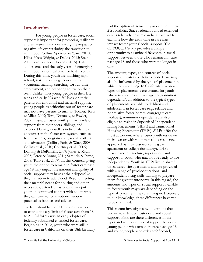# **Introduction**

For young people in foster care, social support is important for promoting resiliency and self-esteem and decreasing the impact of negative life events during the transition to adulthood (Collins, Spencer, & Ward, 2010; Hiles, Moss, Wright, & Dallos, 2013; Stein, 2008; Van Breda & Dickens, 2015). Late adolescence and the early years of emerging adulthood is a critical time for foster youth. During this time, youth are finishing high school, starting a college education or vocational training, searching for full-time employment, and preparing to live on their own. Unlike most young people in their late teens and early 20s who fall back on their parents for emotional and material support, young people transitioning out of foster care may not have parents to turn to (Fowler, Toro, & Miles, 2009; Toro, Dworsky, & Fowler, 2007). Instead, foster youth primarily rely on support from their peers, siblings, and extended family, as well as individuals they encounter in the foster care system, such as foster parents, program staff, social workers, and advocates (Collins, Paris, & Ward, 2008; Collins et al., 2010; Courtney et al., 2005; Daining & DePanfilis, 2007; Jones & Kruk, 2005; Perez & Romo, 2011; Samuels & Pryce, 2008; Toro et al., 2007). In this context, giving youth the option to remain in foster care past age 18 may impact the amount and quality of social support they have at their disposal as they transition to adulthood. Beyond meeting their material needs for housing and other necessities, extended foster care may put youth in continued contact with adults who they can turn to for emotional support, practical assistance, and advice.

To date, about half of U.S. states have opted to extend the age limit of foster care from 18 to 21. California was an early adopter of federally subsidized extended foster care. Beginning in 2012, youth who were still in foster care in California on their 18th birthday had the option of remaining in care until their 21st birthday. Since federally funded extended care is relatively new, researchers have yet to examine how the extra time in care may impact foster youths' social support. The CalYOUTH Study provides a unique opportunity to examine differences in social support between those who remained in care past age 18 and those who were no longer in care.

The amount, types, and sources of social support of foster youth in extended care may also be influenced by the type of placement in which they are living. In California, two new types of placements were created for youth who remained in care past age 18 (nonminor dependents). In addition to the typical types of placements available to children and adolescents in foster care (e.g., relative and nonrelative foster homes, congregate care facilities), nonminor dependents are also eligible to reside in Supervised Independent Living Placements (SILPs) and Transitional Housing Placements (THPs). SILPs offer the most autonomy, where foster youth reside on their own or with roommates in a residence approved by their caseworker (e.g., an apartment or college dormitory). THPs provide more structure, supervision, and support to youth who may not be ready to live independently. Youth in THPs live in shared or scattered-site apartments and are provided with a range of psychoeducational and independent living skills training to prepare them for greater autonomy. In this regard, the amounts and types of social support available to foster youth may vary depending on the type of placement they are living in. However, to our knowledge, these differences have yet to be examined.

This memo investigates two questions that pertain to extended foster care and social support. First, are there differences in the types and sources of social support between young people who remain in care past age 18 and young people who exit care? Second,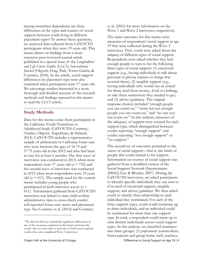among nonminor dependents, are there differences in the types and sources of social support between youth living in different placement types? To answer these questions, we analyzed data collected from CalYOUTH participants when they were 19 years old. This memo draws on findings from a more extensive peer-reviewed journal article published in a special issue of the *Longitudinal and Life Course Studies (LLCS): International Journal* (Okpych, Feng, Park, Torres-García, & Courtney, 2018). In the article, social support differences by placement type were also examined when participants were 17 years old. We encourage readers interested in a more thorough and detailed account of the research methods and findings reported in this memo to read the *LLCS* article.

## **Study Methods**

Data for this memo come from participants in the California Youth Transitions to Adulthood Study (CalYOUTH; Courtney, Charles, Okpych, Napolitano, & Halsted, 2014). CalYOUTH includes a representative sample of adolescents in California foster care who were between the ages of 16.75 and 17.75 years old in late 2012 and who had been in care for at least 6 months. The first wave of interviews was conducted in 2013, when most respondents were 17 years old (*n* = 732) and the second wave of interviews was conducted in 2015 when most respondents were 19 years old ( $n = 611$ ). The sample used for the current memo includes young people who participated in both interview waves (*n* = 611).<sup>1</sup> Information gathered from CalYOUTH interviews was linked to state child welfare administrative data to cross-check youths' self-reported foster care status and placement type. See Courtney et al. (2014) and Courtney

 $\overline{a}$ 

et al. (2016) for more information on the Wave 1 and Wave 2 interviews, respectively.

The main outcomes for this memo were measures of respondents' social support at age 19 that were collected during the Wave 2 interviews. First, youth were asked about the *adequacy* of different types of social support. Respondents were asked whether they had enough people to turn to for the following three types of social support: (1) emotional support (e.g., having individuals to talk about personal or private matters or things that worried them); (2) tangible support (e.g., having individuals who would run an errand for them, lend them money, food or clothing, or take them somewhere they needed to go); and (3) advice/guidance. The original response choices included "enough people you can count on," "some but not enough people you can count on," and "no one you can count on." In this analysis, measures of the adequacy of support were created for each support type, which distinguished between youths reporting "enough support" and youths reporting "not enough support" or "no support."

Chapin Hall at the University of Chicago **Differences** in Social Support at Age 19 | 4 The second set of outcomes pertained to the *sources* of social support—that is, the kinds of people that youth turned to for support. Information on sources of social support was gathered from a modified version of the Social Support Network Questionnaire (SSNQ; Gee & Rhodes, 2007). During the CalYOUTH interviews, we asked participants to identify specific individuals they can turn to if in need of emotional support, tangible support, and advice/guidance. We then asked youth to classify their relationship to each individual they nominated. For each of the three support types, youth could nominate up to three individuals, and an individual could be nominated for more than one support type. In total, a respondent could name up to nine distinct individuals across social support types. In this analysis, we classified nominees into three groups: (1) *professionals* (caseworkers, foster parents and group home staff, teachers,

<sup>1</sup> We did not find any statistically significant differences in any of the measures examined in this memo between the youths who we were able to interview at both waves and the youths who only completed Wave 1 interviews.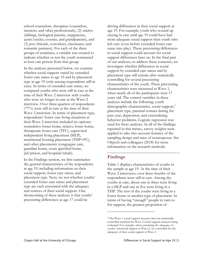school counselors, therapists/counselors, mentors, and other professionals), (2) *relatives* (siblings, biological parents, stepparents, aunts/uncles, cousins, and grandparents), and (3) *peers* (friends, coworkers, classmates, and romantic partners). For each of the three groups of nominees, a variable was created to indicate whether or not the youth nominated at least one person from that group.

In the analyses presented below, we examine whether social support varied by extended foster care status at age 19 and by placement type at age 19 (only among respondents still in care). In terms of extended care status, we compared youths who were still in care at the time of their Wave 2 interview with youths who were no longer in care at the Wave 2 interview. Over three-quarters of respondents (77%) were still in care at the time of their Wave 2 interview. In terms of placement type, respondents' foster care living situations at their Wave 2 interview included six options: nonrelative foster home, relative foster home, therapeutic foster care (TFC), supervised independent living placement (SILP), transitional housing placement (THP+FC), and other placements (congregate care, guardian home, court specified home, jail/prison, and hospital/rehab).

In the Findings section, we first summarize the general characteristics of the respondents at age 19, including information on their social support, foster care status, and placement type. Next, we test whether youths' extended foster care status and placement type are each associated with the adequacy and sources of their social support. One shortcoming of these analyses is that youths' preexisting differences at age 17 could be

driving differences in their social support at age 19. For example, youth who wound up staying in care until age 19 could have had more adequate social support than youth who left care (even before extended foster care came into play). These preexisting differences in social support could account for social support differences later on. In the final part of our analyses, to address these concerns, we investigate whether differences in social support by extended care status and by placement type still remain after statistically controlling for several preexisting characteristics of the youth. These preexisting characteristics were measured at Wave 1, when nearly all of the participants were 17 years old. The control variables in these analyses include the following: youth demographic characteristics, social support,<sup>2</sup> placement type, parental contact during the past year, depression, and externalizing behavior problems. Logistic regression was used for these analyses. In all of the findings reported in this memo, survey weights were applied to take into account features of the sampling design and rates of nonresponse. See Okpych and colleagues (2018) for more information on the research methods.

## **Findings**

 $\overline{a}$ 

Table 1 displays characteristics of youths in the sample at age 19. At the time of their Wave 2 interviews, over three-fourths of the respondents were still in care. Among the youths in care, about one in three were living in a SILP and one in five were living in a THP. The rest of the youths were living in a foster home or another type of placement. In terms of having "enough" people to turn to for support, the greatest proportion of

<sup>2</sup> The Wave 1 social support measure that was statistically controlled matched the Wave 2 social support measure being evaluated. For example, when examining the adequacy of youths' emotional support at Wave 2, we controlled for the adequacy of their social support at Wave 1.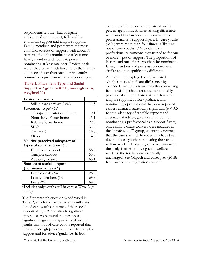respondents felt they had adequate advice/guidance support, followed by emotional support and tangible support. Family members and peers were the most common sources of support, with about 70 percent of youths nominating at least one family member and about 70 percent nominating at least one peer. Professionals were relied on at much lower rates than family and peers; fewer than one in three youths nominated a professional as a support figure.

#### **Table 1. Placement Type and Social**  Support at Age 19 ( $n = 611$ , unweighted  $n$ , **weighted %)**

| Foster care status                     |      |
|----------------------------------------|------|
| Still in care at Wave 2 $\binom{0}{0}$ | 77.3 |
| Placement type $^{\alpha}$ (%)         |      |
| Therapeutic foster care home           | 9.1  |
| Nonrelative foster home                | 13.1 |
| Relative foster home                   | 22.5 |
| SILP                                   | 31.4 |
| THP+FC                                 | 19.2 |
| Other                                  | 4.8  |
| Youths' perceived adequacy of          |      |
| types of social support $(\%)$         |      |
| Emotional support                      | 58.4 |
| Tangible support                       | 53.3 |
| Advice/guidance                        | 65.1 |
| Sources of social support              |      |
| (nominated at least 1)                 |      |
| Professionals $(\%)$                   | 28.4 |
| Family members (%)                     | 69.8 |
| Peers $(\%)$                           | 68.3 |

<sup>a</sup>Includes only youths still in care at Wave 2 (*n*  $= 477$ 

The first research question is addressed in Table 2, which compares in-care youths and out-of-care youths in terms of their social support at age 19. Statistically significant differences were found in a few areas. Significantly greater proportions of in-care youths than out-of-care youths reported that they had enough people to turn to for tangible support and for advice/guidance. In both

cases, the differences were greater than 10 percentage points. A more striking difference was found in answers about nominating a professional as a support figure. In-care youths (34%) were more than four times as likely as out-of-care youths (8%) to identify a professional as someone they turned to for one or more types of support. The proportions of in-care and out-of-care youths who nominated family members and peers as support were similar and not significantly different.

Although not displayed here, we tested whether these significant differences by extended care status remained after controlling for preexisting characteristics, most notably prior social support. Care status differences in tangible support, advice/guidance, and nominating a professional that were reported earlier remained statistically significant  $(p < .05$ for the adequacy of tangible support and adequacy of advice/guidance,  $p < .001$  for nominating a professional as a support figure). Since child welfare workers were included in the "professional" group, we were concerned that the care status differences may have been due to in-care youths nominating their child welfare worker. However, when we conducted the analysis after removing child welfare workers, the results were essentially unchanged. See Okpych and colleagues (2018) for results of the regression analyses.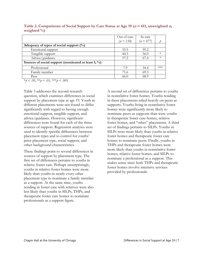|                                                         | Out of care | In care     |           |
|---------------------------------------------------------|-------------|-------------|-----------|
|                                                         | $(n = 134)$ | $(n = 477)$ |           |
| Adequacy of types of social support $(\%)$              |             |             |           |
| Emotional support                                       | 55.5        | 59.2        |           |
| Tangible support                                        | 44.3        | 56.0        | $^{\ast}$ |
| Advice/guidance                                         | 57.2        | 67.4        | $\ast$    |
| Sources of social support (nominated at least 1; $\%$ ) |             |             |           |
| Professional                                            | 7.9         | 34.4        | $***$     |
| Family member                                           | 71.6        | 69.3        |           |
| Peer                                                    | 66.0        | 68.9        |           |

Table 2. Comparisons of Social Support by Care Status at Age 19 ( $n = 611$ , unweighted  $n$ , **weighted %)**

 $*_{p}$  < .05,  $*_{p}$  < .01,  $*_{p}$  < .001

Table 3 addresses the second research question, which examines differences in social support by placement type at age 19. Youth in different placements were not found to differ significantly with regard to having enough emotional support, tangible support, and advice/guidance. However, significant differences were found for each of the three sources of support. Regression analyses were used to identify specific differences between placement types and to control for youths' prior placement type, social support, and other background characteristics.

These findings point to several differences in sources of support by placement type. The first set of differences pertains to youths in relative foster care. Perhaps unsurprisingly, youths in relative foster homes were more likely than youths in nearly every other placement type to nominate a family member as a support. At the same time, youths residing in foster care with relatives were also less likely than youths in SILPs, THPs, and therapeutic foster care homes to nominate professionals as a support figure.

A second set of differences pertains to youths in nonrelative foster homes. Youths residing in these placements relied heavily on peers as supports. Youths living in nonrelative foster homes were significantly more likely to nominate peers as supports than were youths in therapeutic foster care homes, relative foster homes, and "other" placements. A third set of findings pertains to SILPs. Youths in SILPs were more likely than youths in relative foster homes and therapeutic foster care homes to nominate peers. Finally, youths in THPs and therapeutic foster homes were more likely than youths in nonrelative foster homes, relative foster homes, and SILPs to nominate a professional as a support. This makes sense since both THPs and therapeutic foster homes involve intensive services provided by professionals.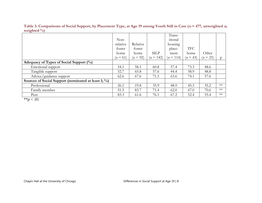| . .                                                 |            |            |             |             |            |            |       |
|-----------------------------------------------------|------------|------------|-------------|-------------|------------|------------|-------|
|                                                     |            |            |             | Trans-      |            |            |       |
|                                                     | Non-       |            |             | itional     |            |            |       |
|                                                     | relative   | Relative   |             | housing     |            |            |       |
|                                                     | foster     | foster     |             | place-      | <b>TFC</b> |            |       |
|                                                     | home       | home       | <b>SILP</b> | ment        | home       | Other      |       |
|                                                     | $(n = 61)$ | $(n = 92)$ | $(n = 142)$ | $(n = 114)$ | $(n = 43)$ | $(n = 25)$ | D.    |
| Adequacy of Types of Social Support (%)             |            |            |             |             |            |            |       |
| Emotional support                                   | 54.1       | 58.1       | 60.8        | 57.4        | 73.3       | 48.6       |       |
| Tangible support                                    | 52.7       | 65.8       | 57.6        | 44.4        | 58.9       | 48.8       |       |
| Advice/guidance support                             | 62.6       | 67.6       | 71.1        | 63.6        | 74.1       | 57.6       |       |
| Sources of Social Support (nominated at least 1; %) |            |            |             |             |            |            |       |
| Professional                                        | 26.1       | 19.8       | 35.9        | 48.9        | 45.3       | 35.2       | $***$ |
| Family member                                       | 51.5       | 83.7       | 71.4        | 62.0        | 67.0       | 70.6       | $**$  |
| Peer                                                | 83.3       | 61.6       | 76.1        | 67.2        | 52.4       | 55.4       | $***$ |
| مله مله<br>$\sim$ 0.1                               |            |            |             |             |            |            |       |

Table 3. Comparisons of Social Support, by Placement Type, at Age 19 among Youth Still in Care ( $n = 477$ , unweighted  $n$ , **weighted %)**

\*\**p* < .01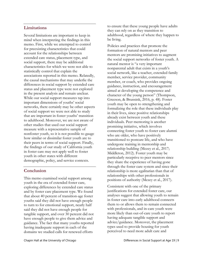# **Limitations**

Several limitations are important to keep in mind when interpreting the findings in this memo. First, while we attempted to control for preexisting characteristics that could account for the relationships between extended care status, placement type, and social support, there may be additional characteristics for which we were not able to statistically control that explain the associations reported in this memo. Relatedly, the causal mechanisms that may underlie the differences in social support by extended care status and placement type were not explored in the present analysis and remain unclear. While our social support measures tap into important dimensions of youths' social networks, there certainly may be other aspects of social support we were not able to study that are important in foster youths' transition to adulthood. Moreover, we are not aware of other studies that used our social support measure with a representative sample of nonfoster youth, so it is not possible to gauge how similar or dissimilar foster youth are to their peers in terms of social support. Finally, the findings of our study of California youth in foster care may not apply well to foster youth in other states with different demographic, policy, and service contexts.

# **Conclusion**

This memo examined social support among youth in the era of extended foster care, exploring differences by extended care status and by foster care placement type. We found that about 40 percent of transition-age foster youths said they did not have enough people to turn to for emotional support, nearly half said they did not have enough people for tangible support, and over 30 percent did not have enough people to give them advice and guidance. The fact that many youths reported having inadequate support in each of the domains we studied calls for renewed efforts

to ensure that these young people have adults they can rely on as they transition to adulthood, regardless of where they happen to be living.

Policies and practices that promote the formation of natural mentors and peer mentors are promising initiatives to augment the social support networks of foster youth. A natural mentor is "a very important nonparental adult that exists in a youth's social network, like a teacher, extended family member, service provider, community member, or coach, who provides ongoing guidance, instruction, and encouragement aimed at developing the competence and character of the young person" (Thompson, Greeson, & Brunsink, 2016, p. 48). Foster youth may be open to strengthening and formalizing the role that these individuals play in their lives, since positive relationships already exist between youth and these individuals. Peer mentoring is another promising initiative, which involves connecting foster youth to foster care alumni who are older, who have positively transitioned to postcare life, and who have undergone training in mentorship and relationship building (Mezey et al., 2017; Middleton, 2012). Foster youth may be particularly receptive to peer mentors since they share the experience of having gone through the foster care system and since their relationship is more egalitarian than that of relationships with other professionals in positions of authority (Mezey et al., 2017).

Consistent with one of the primary justifications for extended foster care, our analyses suggest that allowing youth to remain in foster care into early adulthood connects them to or allows them to remain connected with professionals, and in-care youth were more likely than out-of-care youth to report having adequate tangible support and advice/guidance. Moreover, the placement types used to provide housing for youth perceived to need more adult care and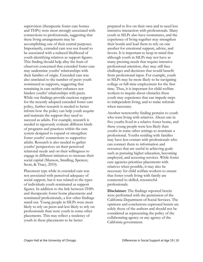supervision (therapeutic foster care homes and THPs) were most strongly associated with connections to professionals, suggesting that these living arrangements may be accomplishing one of their central purposes. Importantly, extended care was not found to be associated with a reduced likelihood of youth identifying relatives as support figures. This finding should help allay the fears of observers concerned that extended foster care may undermine youths' relationships with their families of origin. Extended care was also unrelated to the number of peers youth nominated as supports, suggesting that remaining in care neither enhances nor hinders youths' relationships with peers. While our findings provide cautious support for the recently adopted extended foster care policy, further research is needed to better inform how the policy can help youth acquire and maintain the support they need to succeed as adults. For example, research is needed to rigorously evaluate different kinds of programs and practices within the care system designed to expand or strengthen foster youths' connections to supportive adults. Research is also needed to gather youths' perspectives on their perceived relational needs and on their willingness to engage in different initiatives to increase their social capital (Munson, Smalling, Spencer, Scott, & Tracy, 2010).

Placement type while in extended care was not associated with perceived adequacy of social support, but it was related to the types of individuals youth nominated as support figures. In addition to the link between THPs and therapeutic foster home placements and nominated professionals, a few other findings stand out. Young people in SILPs were more likely to rely on peers and less likely to rely on professionals than were youth in some other placements. This may reflect a tendency of youth in these placements to be better

prepared to live on their own and to need less intensive interaction with professionals. Many youth in SILPs also have roommates, and the experience of living together may strengthen their bonds and lead them to rely on one another for emotional support, advice, and favors. It is important to keep in mind that although youth in SILPs may not have as many pressing needs that require intensive professional attention, they may still face challenges and decisions that would benefit from professional input. For example, youth in SILPs may be more likely to be navigating college or full-time employment for the first time. Thus, it is important for child welfare workers to inquire about obstacles these youth may experience that can impede steps to independent living, and to make referrals when necessary.

Another noteworthy finding pertains to youth who were living with relatives. About one in five youths lived in a relative foster home, and these young people were less likely than youths in some other settings to nominate a professional. Youths residing with families may have less contact with professionals who can connect them to information and resources that are useful in achieving goals such as pursuing higher education, becoming employed, and accessing services. While foster care agencies prioritize placements with relatives when possible, it may also be necessary for child welfare workers to ensure that foster youth living with family are connected to skilled, resourceful professionals.

**Disclaimer**: The findings reported herein were performed with the permission of the California Department of Social Services. The opinions and conclusions expressed herein are solely those of the authors and should not be considered as representing the policy of the collaborating agency or any agency of the California government.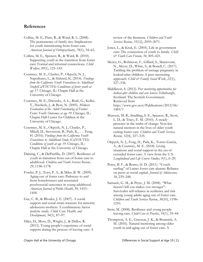## **References**

- Collins, M. E., Paris, R., & Ward, R. L. (2008). The permanence of family ties: Implications for youth transitioning from foster care. *American Journal of Orthopsychiatry*, *78*(1), 54–62.
- Collins, M. E., Spencer, R., & Ward, R. (2010). Supporting youth in the transition from foster care: Formal and informal connections. *Child Welfare*, *89*(1), 125–143.
- Courtney, M. E., Charles, P., Okpych, N. J., Napolitano, L., & Halsted, K. (2014). *Findings from the California Youth Transitions to Adulthood Study(CalYOUTH): Conditions of foster youth at age 17*. Chicago, IL: Chapin Hall at the University of Chicago.
- Courtney, M. E., Dworsky, A. L., Ruth, G., Keller, T., Havlicek, J., & Bost, N. (2005). *Midwest Evaluation of the Adult Functioning of Former Foster Youth: Outcomes at age 19*. Chicago, IL: Chapin Hall Center for Children at the University of Chicago.
- Courtney, M. E., Okpych, N. J., Charles, P., Mikell, D., Stevenson, B., Park, K., . . . Feng. H. (2016). *Findings from the California Youth Transitions to Adulthood Study (CalYOUTH): Conditions of youth at age 19*. Chicago, IL: Chapin Hall at the University of Chicago.
- Daining, C., & DePanfilis, D. (2007). Resilience of youth in transition from out-of-home care to adulthood. *Children and Youth Services Review*, *29*, 1158–1178.
- Fowler, P. J., Toro, P. A., & Miles, B. W. (2009). Aging-out of foster care: Pathways to and from homelessness and associated psychosocial outcomes in young adulthood. *American Journal of Public Health*, *99*, 1453– 1458.
- Gee, C. B., & Rhodes, J. E. (2007). A social support and social strain measure for minority adolescent mothers: A confirmatory factor analytic study. *Child: Care, Health, and Development*, *34*(1), 87–97.
- Hiles, D., Moss, D., Wright, J., & Dallos, R. (2013). Young people's experience of social support during the process of leaving care: A

review of the literature. *Children and Youth Services Review*, *35*(12), 2059–2071.

- Jones, L., & Kruk, E. (2005). Life in government care: The connection of youth to family. *Child & Youth Care Forum*, *34*, 405–421.
- Mezey, G., Robinson, F., Gillard, S., Mantovani, N., Meyer, D., White, S., & Bonell, C. (2017). Tackling the problem of teenage pregnancy in looked‐after children: A peer mentoring approach. *Child & Family Social Work*, *22*(1), 527–536.

Middleton, S. (2012). *Peer mentoring opportunities for looked after children and care leavers*. Edinburgh, Scotland: The Scottish Government. Retrieved from http://www.gov.scot/Publications/2012/06/ 1483/1

- Munson, M. R., Smalling, S. E., Spencer, R., Scott, L. D., & Tracy, E. M. (2010). A steady presence in the midst of change: Non-kin natural mentors in the lives of older youth exiting foster care. *Children and Youth Services Review*, *32*(4), 527–535.
- Okpych, N. J., Feng, H., Park, K., Torres-García, A., & Courtney, M. E. (2018). Living situations and social support in the era of extended foster care: A view from the U.S. *Longitudinal and Life Course Studies, 9*(1), 6–29.
- Perez, B. F., & Romo, H. D. (2011). ''Couch surfing'' of Latino foster care alumni: Reliance on peers as social capital. *Journal of Adolescence*, *34*, 239–248.
- Samuels, G. M., & Pryce, J. M. (2008). "What doesn't kill you makes you stronger": Survivalist self-reliance as resilience and risk among young adults aging out of foster care. *Children and Youth Services Review*, *30*(10), 1198– 1210.
- Stein, M. (2008). Resilience and young people leaving care. *Child Care in Practice*, *14*(1), 35–44.
- Thompson, A. E., Greeson, J. K., & Brunsink, A. M. (2016). Natural mentoring among older youth in and aging out of foster care: A